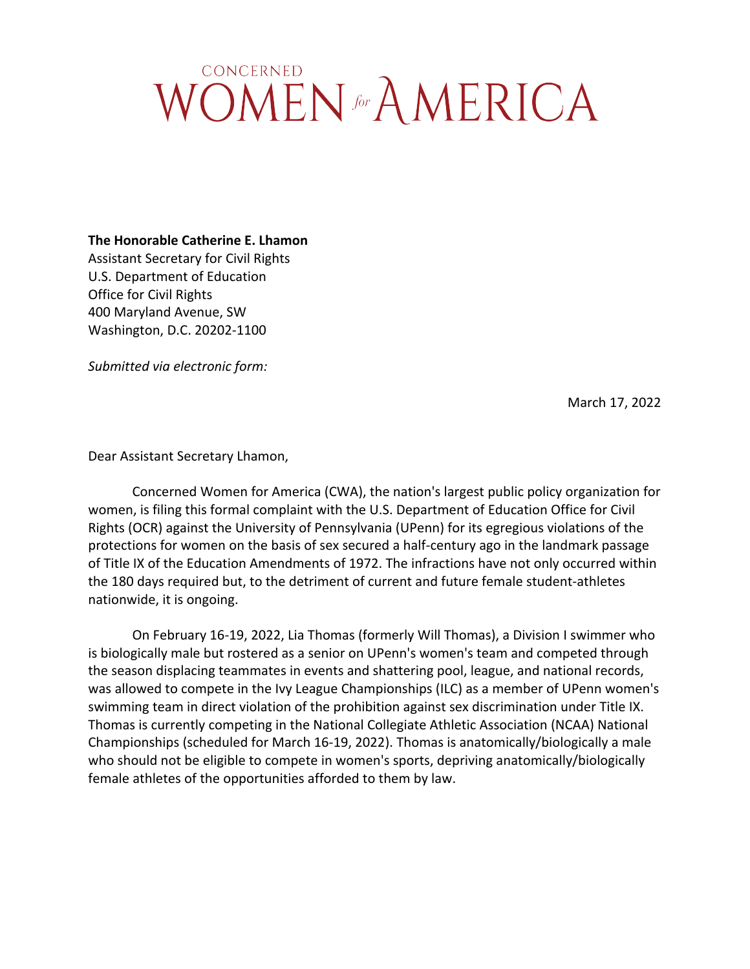## **CONCERNED WOMEN** for AMERICA

**The Honorable Catherine E. Lhamon**

Assistant Secretary for Civil Rights U.S. Department of Education Office for Civil Rights 400 Maryland Avenue, SW Washington, D.C. 20202-1100

*Submitted via electronic form:*

March 17, 2022

Dear Assistant Secretary Lhamon,

Concerned Women for America (CWA), the nation's largest public policy organization for women, is filing this formal complaint with the U.S. Department of Education Office for Civil Rights (OCR) against the University of Pennsylvania (UPenn) for its egregious violations of the protections for women on the basis of sex secured a half-century ago in the landmark passage of Title IX of the Education Amendments of 1972. The infractions have not only occurred within the 180 days required but, to the detriment of current and future female student-athletes nationwide, it is ongoing.

On February 16-19, 2022, Lia Thomas (formerly Will Thomas), a Division I swimmer who is biologically male but rostered as a senior on UPenn's women's team and competed through the season displacing teammates in events and shattering pool, league, and national records, was allowed to compete in the Ivy League Championships (ILC) as a member of UPenn women's swimming team in direct violation of the prohibition against sex discrimination under Title IX. Thomas is currently competing in the National Collegiate Athletic Association (NCAA) National Championships (scheduled for March 16-19, 2022). Thomas is anatomically/biologically a male who should not be eligible to compete in women's sports, depriving anatomically/biologically female athletes of the opportunities afforded to them by law.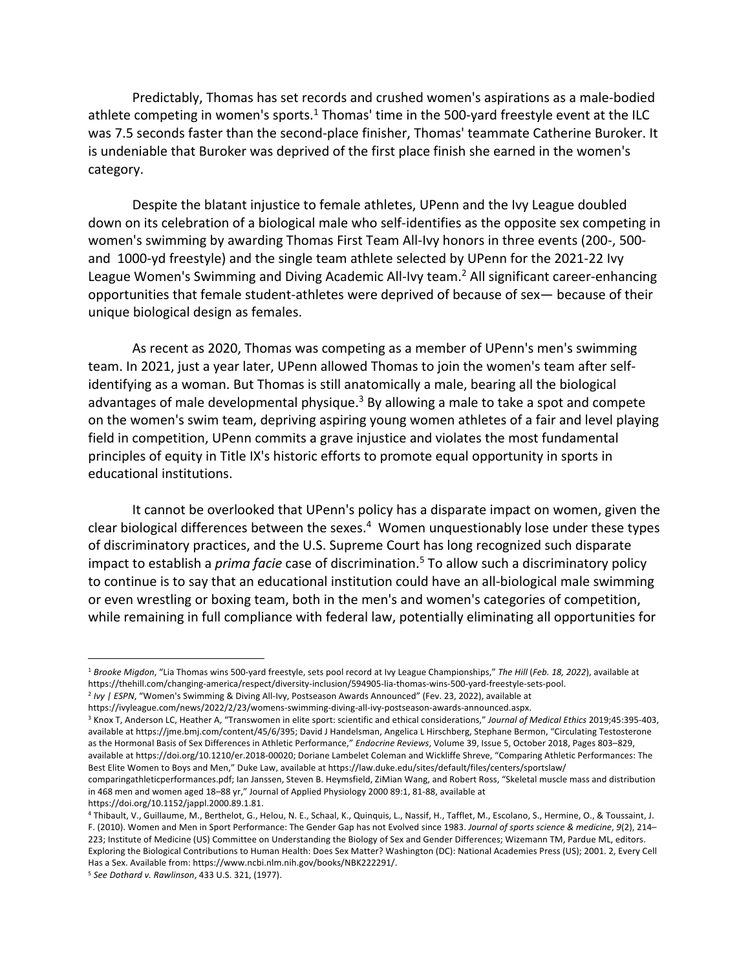Predictably, Thomas has set records and crushed women's aspirations as a male-bodied athlete competing in women's sports.<sup>1</sup> Thomas' time in the 500-yard freestyle event at the ILC was 7.5 seconds faster than the second-place finisher, Thomas' teammate Catherine Buroker. It is undeniable that Buroker was deprived of the first place finish she earned in the women's category.

Despite the blatant injustice to female athletes, UPenn and the Ivy League doubled down on its celebration of a biological male who self-identifies as the opposite sex competing in women's swimming by awarding Thomas First Team All-Ivy honors in three events (200-, 500 and 1000-yd freestyle) and the single team athlete selected by UPenn for the 2021-22 Ivy League Women's Swimming and Diving Academic All-Ivy team.<sup>2</sup> All significant career-enhancing opportunities that female student-athletes were deprived of because of sex— because of their unique biological design as females.

As recent as 2020, Thomas was competing as a member of UPenn's men's swimming team. In 2021, just a year later, UPenn allowed Thomas to join the women's team after selfidentifying as a woman. But Thomas is still anatomically a male, bearing all the biological advantages of male developmental physique.<sup>3</sup> By allowing a male to take a spot and compete on the women's swim team, depriving aspiring young women athletes of a fair and level playing field in competition, UPenn commits a grave injustice and violates the most fundamental principles of equity in Title IX's historic efforts to promote equal opportunity in sports in educational institutions.

It cannot be overlooked that UPenn's policy has a disparate impact on women, given the clear biological differences between the sexes.<sup>4</sup> Women unquestionably lose under these types of discriminatory practices, and the U.S. Supreme Court has long recognized such disparate impact to establish a *prima facie* case of discrimination. <sup>5</sup> To allow such a discriminatory policy to continue is to say that an educational institution could have an all-biological male swimming or even wrestling or boxing team, both in the men's and women's categories of competition, while remaining in full compliance with federal law, potentially eliminating all opportunities for

<sup>1</sup> *Brooke Migdon*, "Lia Thomas wins 500-yard freestyle, sets pool record at Ivy League Championships," *The Hill* (*Feb. 18, 2022*), available at https://thehill.com/changing-america/respect/diversity-inclusion/594905-lia-thomas-wins-500-yard-freestyle-sets-pool.

<sup>2</sup> *Ivy | ESPN*, "Women's Swimming & Diving All-Ivy, Postseason Awards Announced" (Fev. 23, 2022), available at

https://ivyleague.com/news/2022/2/23/womens-swimming-diving-all-ivy-postseason-awards-announced.aspx.

<sup>3</sup> Knox T, Anderson LC, Heather A, "Transwomen in elite sport: scientific and ethical considerations," *Journal of Medical Ethics* 2019;45:395-403, available at https://jme.bmj.com/content/45/6/395; David J Handelsman, Angelica L Hirschberg, Stephane Bermon, "Circulating Testosterone as the Hormonal Basis of Sex Differences in Athletic Performance," *Endocrine Reviews*, Volume 39, Issue 5, October 2018, Pages 803–829, available at https://doi.org/10.1210/er.2018-00020; Doriane Lambelet Coleman and Wickliffe Shreve, "Comparing Athletic Performances: The Best Elite Women to Boys and Men," Duke Law, available at https://law.duke.edu/sites/default/files/centers/sportslaw/

comparingathleticperformances.pdf; Ian Janssen, Steven B. Heymsfield, ZiMian Wang, and Robert Ross, "Skeletal muscle mass and distribution in 468 men and women aged 18–88 yr," Journal of Applied Physiology 2000 89:1, 81-88, available at https://doi.org/10.1152/jappl.2000.89.1.81.

<sup>4</sup> Thibault, V., Guillaume, M., Berthelot, G., Helou, N. E., Schaal, K., Quinquis, L., Nassif, H., Tafflet, M., Escolano, S., Hermine, O., & Toussaint, J. F. (2010). Women and Men in Sport Performance: The Gender Gap has not Evolved since 1983. *Journal of sports science & medicine*, *9*(2), 214– 223; Institute of Medicine (US) Committee on Understanding the Biology of Sex and Gender Differences; Wizemann TM, Pardue ML, editors. Exploring the Biological Contributions to Human Health: Does Sex Matter? Washington (DC): National Academies Press (US); 2001. 2, Every Cell Has a Sex. Available from: https://www.ncbi.nlm.nih.gov/books/NBK222291/.

<sup>5</sup> *See Dothard v. Rawlinson*, 433 U.S. 321, (1977).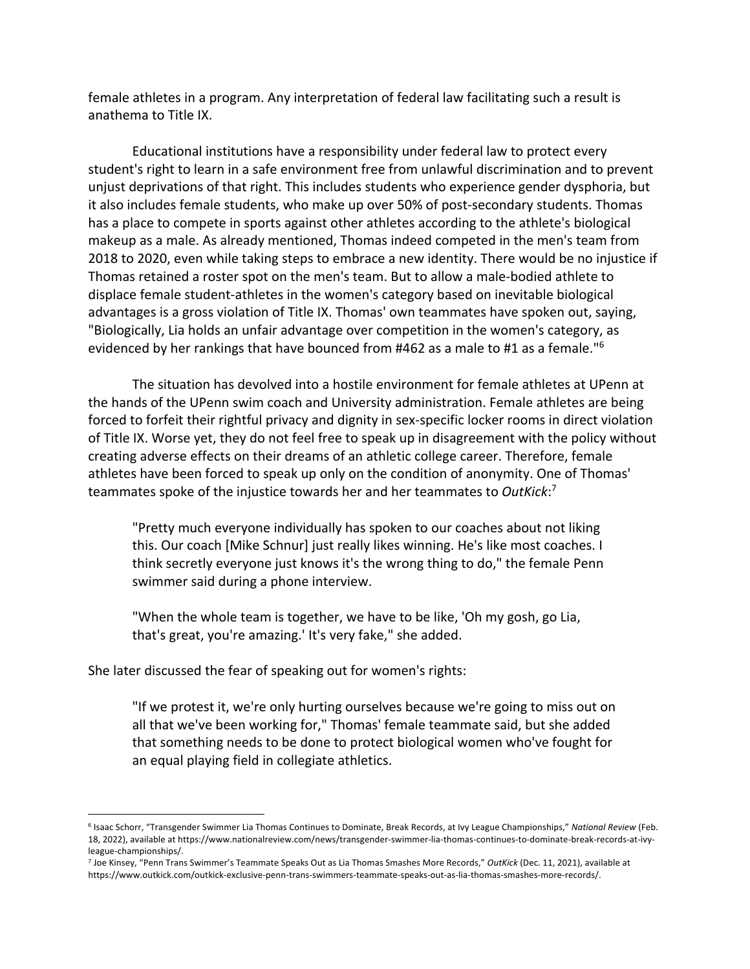female athletes in a program. Any interpretation of federal law facilitating such a result is anathema to Title IX.

Educational institutions have a responsibility under federal law to protect every student's right to learn in a safe environment free from unlawful discrimination and to prevent unjust deprivations of that right. This includes students who experience gender dysphoria, but it also includes female students, who make up over 50% of post-secondary students. Thomas has a place to compete in sports against other athletes according to the athlete's biological makeup as a male. As already mentioned, Thomas indeed competed in the men's team from 2018 to 2020, even while taking steps to embrace a new identity. There would be no injustice if Thomas retained a roster spot on the men's team. But to allow a male-bodied athlete to displace female student-athletes in the women's category based on inevitable biological advantages is a gross violation of Title IX. Thomas' own teammates have spoken out, saying, "Biologically, Lia holds an unfair advantage over competition in the women's category, as evidenced by her rankings that have bounced from #462 as a male to #1 as a female."6

The situation has devolved into a hostile environment for female athletes at UPenn at the hands of the UPenn swim coach and University administration. Female athletes are being forced to forfeit their rightful privacy and dignity in sex-specific locker rooms in direct violation of Title IX. Worse yet, they do not feel free to speak up in disagreement with the policy without creating adverse effects on their dreams of an athletic college career. Therefore, female athletes have been forced to speak up only on the condition of anonymity. One of Thomas' teammates spoke of the injustice towards her and her teammates to *OutKick*: 7

"Pretty much everyone individually has spoken to our coaches about not liking this. Our coach [Mike Schnur] just really likes winning. He's like most coaches. I think secretly everyone just knows it's the wrong thing to do," the female Penn swimmer said during a phone interview.

"When the whole team is together, we have to be like, 'Oh my gosh, go Lia, that's great, you're amazing.' It's very fake," she added.

She later discussed the fear of speaking out for women's rights:

"If we protest it, we're only hurting ourselves because we're going to miss out on all that we've been working for," Thomas' female teammate said, but she added that something needs to be done to protect biological women who've fought for an equal playing field in collegiate athletics.

<sup>6</sup> Isaac Schorr, "Transgender Swimmer Lia Thomas Continues to Dominate, Break Records, at Ivy League Championships," *National Review* (Feb. 18, 2022), available at https://www.nationalreview.com/news/transgender-swimmer-lia-thomas-continues-to-dominate-break-records-at-ivyleague-championships/.

<sup>7</sup> Joe Kinsey, "Penn Trans Swimmer's Teammate Speaks Out as Lia Thomas Smashes More Records," *OutKick* (Dec. 11, 2021), available at https://www.outkick.com/outkick-exclusive-penn-trans-swimmers-teammate-speaks-out-as-lia-thomas-smashes-more-records/.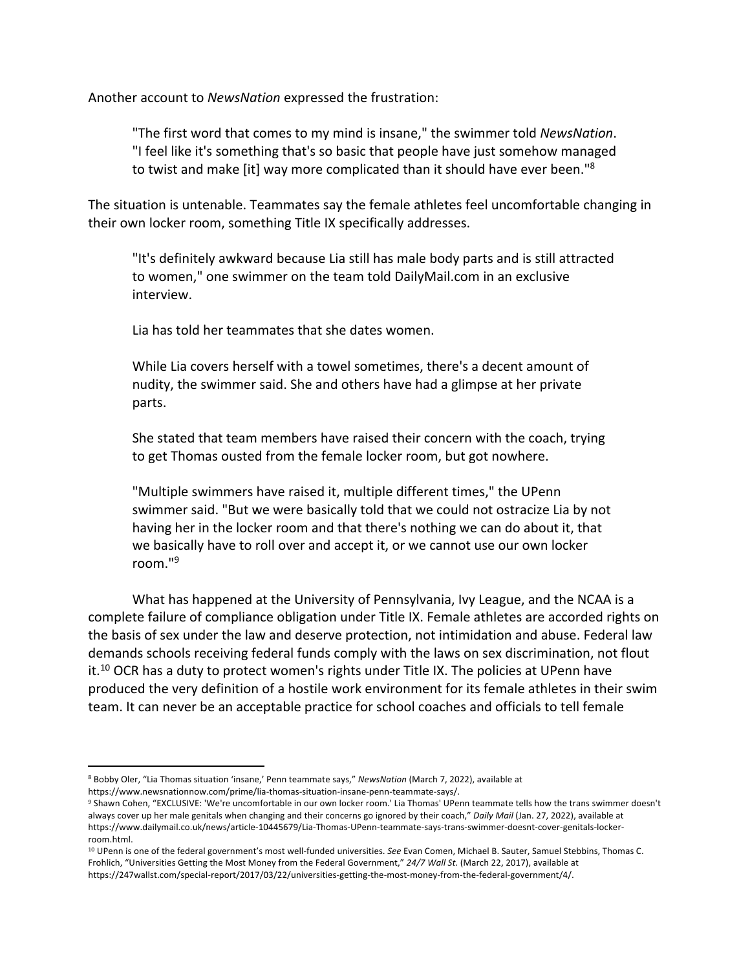Another account to *NewsNation* expressed the frustration:

"The first word that comes to my mind is insane," the swimmer told *NewsNation*. "I feel like it's something that's so basic that people have just somehow managed to twist and make [it] way more complicated than it should have ever been."<sup>8</sup>

The situation is untenable. Teammates say the female athletes feel uncomfortable changing in their own locker room, something Title IX specifically addresses.

"It's definitely awkward because Lia still has male body parts and is still attracted to women," one swimmer on the team told DailyMail.com in an exclusive interview.

Lia has told her teammates that she dates women.

While Lia covers herself with a towel sometimes, there's a decent amount of nudity, the swimmer said. She and others have had a glimpse at her private parts.

She stated that team members have raised their concern with the coach, trying to get Thomas ousted from the female locker room, but got nowhere.

"Multiple swimmers have raised it, multiple different times," the UPenn swimmer said. "But we were basically told that we could not ostracize Lia by not having her in the locker room and that there's nothing we can do about it, that we basically have to roll over and accept it, or we cannot use our own locker room."9

What has happened at the University of Pennsylvania, Ivy League, and the NCAA is a complete failure of compliance obligation under Title IX. Female athletes are accorded rights on the basis of sex under the law and deserve protection, not intimidation and abuse. Federal law demands schools receiving federal funds comply with the laws on sex discrimination, not flout it.<sup>10</sup> OCR has a duty to protect women's rights under Title IX. The policies at UPenn have produced the very definition of a hostile work environment for its female athletes in their swim team. It can never be an acceptable practice for school coaches and officials to tell female

<sup>8</sup> Bobby Oler, "Lia Thomas situation 'insane,' Penn teammate says," *NewsNation* (March 7, 2022), available at https://www.newsnationnow.com/prime/lia-thomas-situation-insane-penn-teammate-says/.

<sup>9</sup> Shawn Cohen, "EXCLUSIVE: 'We're uncomfortable in our own locker room.' Lia Thomas' UPenn teammate tells how the trans swimmer doesn't always cover up her male genitals when changing and their concerns go ignored by their coach," *Daily Mail* (Jan. 27, 2022), available at https://www.dailymail.co.uk/news/article-10445679/Lia-Thomas-UPenn-teammate-says-trans-swimmer-doesnt-cover-genitals-lockerroom.html.

<sup>10</sup> UPenn is one of the federal government's most well-funded universities. *See* Evan Comen, Michael B. Sauter, Samuel Stebbins, Thomas C. Frohlich, "Universities Getting the Most Money from the Federal Government," *24/7 Wall St.* (March 22, 2017), available at https://247wallst.com/special-report/2017/03/22/universities-getting-the-most-money-from-the-federal-government/4/.